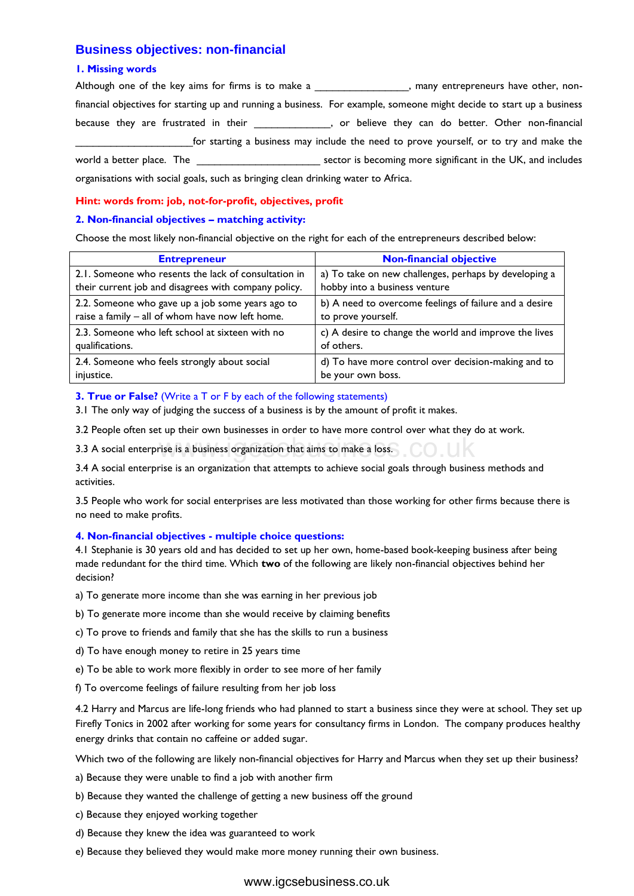## **Business objectives: non-financial**

#### **1. Missing words**

Although one of the key aims for firms is to make a \_\_\_\_\_\_\_\_\_\_\_\_\_\_\_\_, many entrepreneurs have other, nonfinancial objectives for starting up and running a business. For example, someone might decide to start up a business because they are frustrated in their **the set of the set of the set of the set of the set of the set of the set o** \_\_\_\_\_\_\_\_\_\_\_\_\_\_\_\_\_\_\_\_for starting a business may include the need to prove yourself, or to try and make the world a better place. The \_\_\_\_\_\_\_\_\_\_\_\_\_\_\_\_\_\_\_\_\_\_\_\_\_\_\_\_ sector is becoming more significant in the UK, and includes organisations with social goals, such as bringing clean drinking water to Africa.

### **Hint: words from: job, not-for-profit, objectives, profit**

#### **2. Non-financial objectives – matching activity:**

Choose the most likely non-financial objective on the right for each of the entrepreneurs described below:

| <b>Entrepreneur</b>                                  | <b>Non-financial objective</b>                         |
|------------------------------------------------------|--------------------------------------------------------|
| 2.1. Someone who resents the lack of consultation in | a) To take on new challenges, perhaps by developing a  |
| their current job and disagrees with company policy. | hobby into a business venture                          |
| 2.2. Someone who gave up a job some years ago to     | b) A need to overcome feelings of failure and a desire |
| raise a family - all of whom have now left home.     | to prove yourself.                                     |
| 2.3. Someone who left school at sixteen with no      | c) A desire to change the world and improve the lives  |
| qualifications.                                      | of others.                                             |
| 2.4. Someone who feels strongly about social         | d) To have more control over decision-making and to    |
| injustice.                                           | be your own boss.                                      |

#### **3. True or False?** (Write a T or F by each of the following statements)

3.1 The only way of judging the success of a business is by the amount of profit it makes.

3.2 People often set up their own businesses in order to have more control over what they do at work.

3.3 A social enterprise is a business organization that aims to make a loss.

3.4 A social enterprise is an organization that attempts to achieve social goals through business methods and activities.

3.5 People who work for social enterprises are less motivated than those working for other firms because there is no need to make profits.

#### **4. Non-financial objectives - multiple choice questions:**

4.1 Stephanie is 30 years old and has decided to set up her own, home-based book-keeping business after being made redundant for the third time. Which **two** of the following are likely non-financial objectives behind her decision?

- a) To generate more income than she was earning in her previous job
- b) To generate more income than she would receive by claiming benefits
- c) To prove to friends and family that she has the skills to run a business
- d) To have enough money to retire in 25 years time
- e) To be able to work more flexibly in order to see more of her family
- f) To overcome feelings of failure resulting from her job loss

4.2 Harry and Marcus are life-long friends who had planned to start a business since they were at school. They set up Firefly Tonics in 2002 after working for some years for consultancy firms in London. The company produces healthy energy drinks that contain no caffeine or added sugar. rise is a business organization that aims to make a loss.<br>Sise is an organization that attempts to achieve social goals through busine<br>rise is an organization that attempts to achieve social goals through busine<br>rises.<br>Dif

Which two of the following are likely non-financial objectives for Harry and Marcus when they set up their business?

- a) Because they were unable to find a job with another firm
- b) Because they wanted the challenge of getting a new business off the ground
- c) Because they enjoyed working together
- d) Because they knew the idea was guaranteed to work
- e) Because they believed they would make more money running their own business.